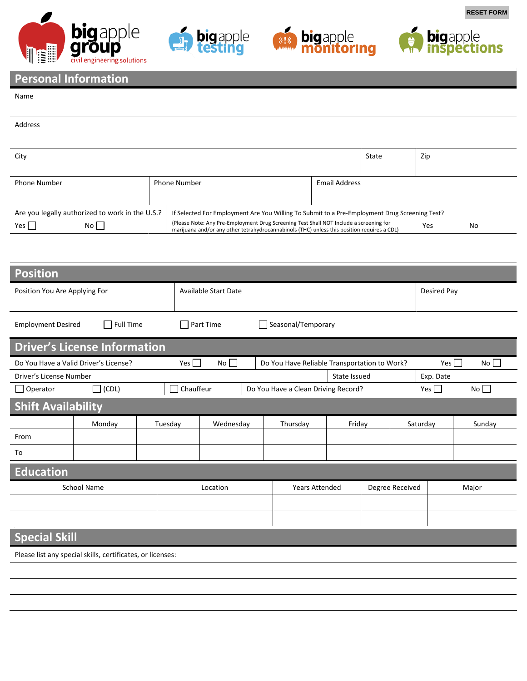







**RESET FORM**

## **Personal Information**

## Name

| Address                                         |  |                                                                                                                                                                                              |                      |  |     |    |  |  |  |
|-------------------------------------------------|--|----------------------------------------------------------------------------------------------------------------------------------------------------------------------------------------------|----------------------|--|-----|----|--|--|--|
|                                                 |  |                                                                                                                                                                                              |                      |  |     |    |  |  |  |
|                                                 |  |                                                                                                                                                                                              |                      |  |     |    |  |  |  |
| City                                            |  |                                                                                                                                                                                              |                      |  | Zip |    |  |  |  |
|                                                 |  |                                                                                                                                                                                              |                      |  |     |    |  |  |  |
|                                                 |  |                                                                                                                                                                                              |                      |  |     |    |  |  |  |
| <b>Phone Number</b>                             |  | <b>Phone Number</b>                                                                                                                                                                          | <b>Email Address</b> |  |     |    |  |  |  |
|                                                 |  |                                                                                                                                                                                              |                      |  |     |    |  |  |  |
|                                                 |  |                                                                                                                                                                                              |                      |  |     |    |  |  |  |
| Are you legally authorized to work in the U.S.? |  | If Selected For Employment Are You Willing To Submit to a Pre-Employment Drug Screening Test?                                                                                                |                      |  |     |    |  |  |  |
| No<br>Yes $\vert$                               |  | (Please Note: Any Pre-Employment Drug Screening Test Shall NOT Include a screening for<br>Yes<br>marijuana and/or any other tetrahydrocannabinols (THC) unless this position requires a CDL) |                      |  |     | No |  |  |  |

| <b>Position</b>                                            |                  |  |                      |                                        |              |                                              |        |                 |          |                    |           |  |
|------------------------------------------------------------|------------------|--|----------------------|----------------------------------------|--------------|----------------------------------------------|--------|-----------------|----------|--------------------|-----------|--|
| Position You Are Applying For                              |                  |  |                      | <b>Available Start Date</b>            |              |                                              |        |                 |          | <b>Desired Pay</b> |           |  |
| <b>Employment Desired</b>                                  | $\Box$ Full Time |  |                      | $\Box$ Part Time<br>Seasonal/Temporary |              |                                              |        |                 |          |                    |           |  |
| <b>Driver's License Information</b>                        |                  |  |                      |                                        |              |                                              |        |                 |          |                    |           |  |
| Do You Have a Valid Driver's License?                      |                  |  |                      | Yes $\Box$<br>No                       |              | Do You Have Reliable Transportation to Work? |        |                 |          | Yes    <br>No      |           |  |
| Driver's License Number                                    |                  |  |                      |                                        | State Issued |                                              |        |                 |          | Exp. Date          |           |  |
| $\Box$ Operator                                            | $\Box$ (CDL)     |  | Chauffeur            |                                        |              | Do You Have a Clean Driving Record?          |        |                 |          | Yes $\Box$         | $No \Box$ |  |
| <b>Shift Availability</b>                                  |                  |  |                      |                                        |              |                                              |        |                 |          |                    |           |  |
|                                                            | Monday           |  | Tuesday<br>Wednesday |                                        |              | Thursday                                     | Friday |                 | Saturday |                    | Sunday    |  |
| From                                                       |                  |  |                      |                                        |              |                                              |        |                 |          |                    |           |  |
| To                                                         |                  |  |                      |                                        |              |                                              |        |                 |          |                    |           |  |
| Education                                                  |                  |  |                      |                                        |              |                                              |        |                 |          |                    |           |  |
| <b>School Name</b>                                         |                  |  | Location             |                                        |              | <b>Years Attended</b>                        |        | Degree Received |          |                    | Major     |  |
|                                                            |                  |  |                      |                                        |              |                                              |        |                 |          |                    |           |  |
|                                                            |                  |  |                      |                                        |              |                                              |        |                 |          |                    |           |  |
| <b>Special Skill</b>                                       |                  |  |                      |                                        |              |                                              |        |                 |          |                    |           |  |
| Please list any special skills, certificates, or licenses: |                  |  |                      |                                        |              |                                              |        |                 |          |                    |           |  |
|                                                            |                  |  |                      |                                        |              |                                              |        |                 |          |                    |           |  |
|                                                            |                  |  |                      |                                        |              |                                              |        |                 |          |                    |           |  |